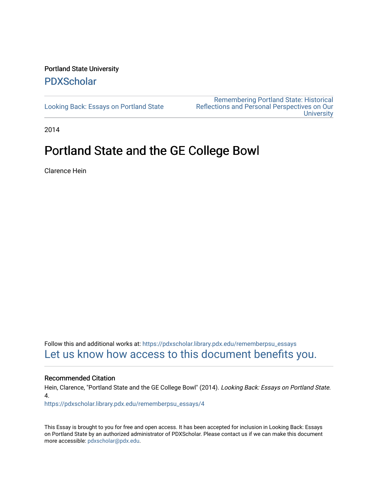## Portland State University [PDXScholar](https://pdxscholar.library.pdx.edu/)

[Looking Back: Essays on Portland State](https://pdxscholar.library.pdx.edu/rememberpsu_essays)

[Remembering Portland State: Historical](https://pdxscholar.library.pdx.edu/rememberpsu)  [Reflections and Personal Perspectives on Our](https://pdxscholar.library.pdx.edu/rememberpsu)  **University** 

2014

# Portland State and the GE College Bowl

Clarence Hein

Follow this and additional works at: [https://pdxscholar.library.pdx.edu/rememberpsu\\_essays](https://pdxscholar.library.pdx.edu/rememberpsu_essays?utm_source=pdxscholar.library.pdx.edu%2Frememberpsu_essays%2F4&utm_medium=PDF&utm_campaign=PDFCoverPages)  [Let us know how access to this document benefits you.](http://library.pdx.edu/services/pdxscholar-services/pdxscholar-feedback/?ref=https://pdxscholar.library.pdx.edu/rememberpsu_essays/4) 

#### Recommended Citation

Hein, Clarence, "Portland State and the GE College Bowl" (2014). Looking Back: Essays on Portland State. 4.

[https://pdxscholar.library.pdx.edu/rememberpsu\\_essays/4](https://pdxscholar.library.pdx.edu/rememberpsu_essays/4?utm_source=pdxscholar.library.pdx.edu%2Frememberpsu_essays%2F4&utm_medium=PDF&utm_campaign=PDFCoverPages)

This Essay is brought to you for free and open access. It has been accepted for inclusion in Looking Back: Essays on Portland State by an authorized administrator of PDXScholar. Please contact us if we can make this document more accessible: [pdxscholar@pdx.edu.](mailto:pdxscholar@pdx.edu)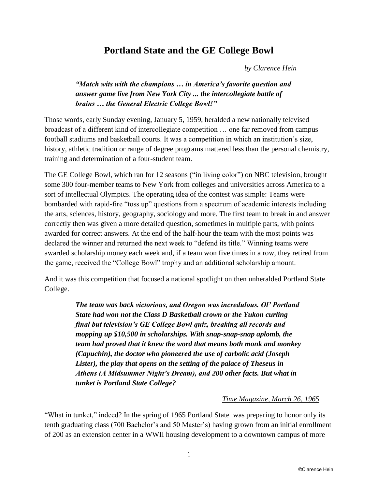# **Portland State and the GE College Bowl**

*by Clarence Hein* 

### *"Match wits with the champions … in America's favorite question and answer game live from New York City ... the intercollegiate battle of brains … the General Electric College Bowl!"*

Those words, early Sunday evening, January 5, 1959, heralded a new nationally televised broadcast of a different kind of intercollegiate competition … one far removed from campus football stadiums and basketball courts. It was a competition in which an institution's size, history, athletic tradition or range of degree programs mattered less than the personal chemistry, training and determination of a four-student team.

The GE College Bowl, which ran for 12 seasons ("in living color") on NBC television, brought some 300 four-member teams to New York from colleges and universities across America to a sort of intellectual Olympics. The operating idea of the contest was simple: Teams were bombarded with rapid-fire "toss up" questions from a spectrum of academic interests including the arts, sciences, history, geography, sociology and more. The first team to break in and answer correctly then was given a more detailed question, sometimes in multiple parts, with points awarded for correct answers. At the end of the half-hour the team with the most points was declared the winner and returned the next week to "defend its title." Winning teams were awarded scholarship money each week and, if a team won five times in a row, they retired from the game, received the "College Bowl" trophy and an additional scholarship amount.

And it was this competition that focused a national spotlight on then unheralded Portland State College.

> *The team was back victorious, and Oregon was incredulous. Ol' Portland State had won not the Class D Basketball crown or the Yukon curling final but television's GE College Bowl quiz, breaking all records and mopping up \$10,500 in scholarships. With snap-snap-snap aplomb, the team had proved that it knew the word that means both monk and monkey (Capuchin), the doctor who pioneered the use of carbolic acid (Joseph Lister), the play that opens on the setting of the palace of Theseus in Athens (A Midsummer Night's Dream), and 200 other facts. But what in tunket is Portland State College?*

#### *Time Magazine, March 26, 1965*

"What in tunket," indeed? In the spring of 1965 Portland State was preparing to honor only its tenth graduating class (700 Bachelor's and 50 Master's) having grown from an initial enrollment of 200 as an extension center in a WWII housing development to a downtown campus of more

1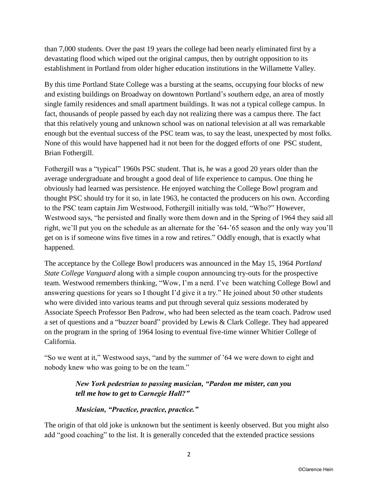than 7,000 students. Over the past 19 years the college had been nearly eliminated first by a devastating flood which wiped out the original campus, then by outright opposition to its establishment in Portland from older higher education institutions in the Willamette Valley.

By this time Portland State College was a bursting at the seams, occupying four blocks of new and existing buildings on Broadway on downtown Portland's southern edge, an area of mostly single family residences and small apartment buildings. It was not a typical college campus. In fact, thousands of people passed by each day not realizing there was a campus there. The fact that this relatively young and unknown school was on national television at all was remarkable enough but the eventual success of the PSC team was, to say the least, unexpected by most folks. None of this would have happened had it not been for the dogged efforts of one PSC student, Brian Fothergill.

Fothergill was a "typical" 1960s PSC student. That is, he was a good 20 years older than the average undergraduate and brought a good deal of life experience to campus. One thing he obviously had learned was persistence. He enjoyed watching the College Bowl program and thought PSC should try for it so, in late 1963, he contacted the producers on his own. According to the PSC team captain Jim Westwood, Fothergill initially was told, "Who?" However, Westwood says, "he persisted and finally wore them down and in the Spring of 1964 they said all right, we'll put you on the schedule as an alternate for the '64-'65 season and the only way you'll get on is if someone wins five times in a row and retires." Oddly enough, that is exactly what happened.

The acceptance by the College Bowl producers was announced in the May 15, 1964 *Portland State College Vanguard* along with a simple coupon announcing try-outs for the prospective team. Westwood remembers thinking, "Wow, I'm a nerd. I've been watching College Bowl and answering questions for years so I thought I'd give it a try." He joined about 50 other students who were divided into various teams and put through several quiz sessions moderated by Associate Speech Professor Ben Padrow, who had been selected as the team coach. Padrow used a set of questions and a "buzzer board" provided by Lewis & Clark College. They had appeared on the program in the spring of 1964 losing to eventual five-time winner Whitier College of California.

"So we went at it," Westwood says, "and by the summer of '64 we were down to eight and nobody knew who was going to be on the team."

## *New York pedestrian to passing musician, "Pardon me mister, can you tell me how to get to Carnegie Hall?"*

#### *Musician, "Practice, practice, practice."*

The origin of that old joke is unknown but the sentiment is keenly observed. But you might also add "good coaching" to the list. It is generally conceded that the extended practice sessions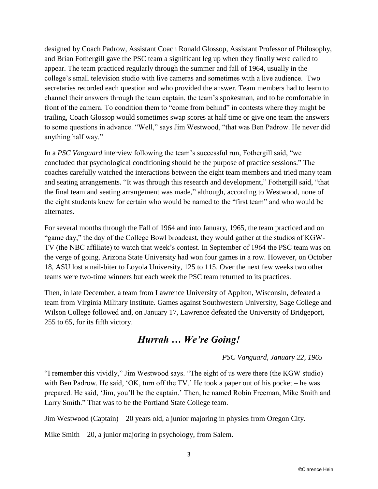designed by Coach Padrow, Assistant Coach Ronald Glossop, Assistant Professor of Philosophy, and Brian Fothergill gave the PSC team a significant leg up when they finally were called to appear. The team practiced regularly through the summer and fall of 1964, usually in the college's small television studio with live cameras and sometimes with a live audience. Two secretaries recorded each question and who provided the answer. Team members had to learn to channel their answers through the team captain, the team's spokesman, and to be comfortable in front of the camera. To condition them to "come from behind" in contests where they might be trailing, Coach Glossop would sometimes swap scores at half time or give one team the answers to some questions in advance. "Well," says Jim Westwood, "that was Ben Padrow. He never did anything half way."

In a *PSC Vanguard* interview following the team's successful run, Fothergill said, "we concluded that psychological conditioning should be the purpose of practice sessions." The coaches carefully watched the interactions between the eight team members and tried many team and seating arrangements. "It was through this research and development," Fothergill said, "that the final team and seating arrangement was made," although, according to Westwood, none of the eight students knew for certain who would be named to the "first team" and who would be alternates.

For several months through the Fall of 1964 and into January, 1965, the team practiced and on "game day," the day of the College Bowl broadcast, they would gather at the studios of KGW-TV (the NBC affiliate) to watch that week's contest. In September of 1964 the PSC team was on the verge of going. Arizona State University had won four games in a row. However, on October 18, ASU lost a nail-biter to Loyola University, 125 to 115. Over the next few weeks two other teams were two-time winners but each week the PSC team returned to its practices.

Then, in late December, a team from Lawrence University of Applton, Wisconsin, defeated a team from Virginia Military Institute. Games against Southwestern University, Sage College and Wilson College followed and, on January 17, Lawrence defeated the University of Bridgeport, 255 to 65, for its fifth victory.

# *Hurrah … We're Going!*

## *PSC Vanguard, January 22, 1965*

"I remember this vividly," Jim Westwood says. "The eight of us were there (the KGW studio) with Ben Padrow. He said, 'OK, turn off the TV.' He took a paper out of his pocket – he was prepared. He said, 'Jim, you'll be the captain.' Then, he named Robin Freeman, Mike Smith and Larry Smith." That was to be the Portland State College team.

Jim Westwood (Captain) – 20 years old, a junior majoring in physics from Oregon City.

Mike Smith – 20, a junior majoring in psychology, from Salem.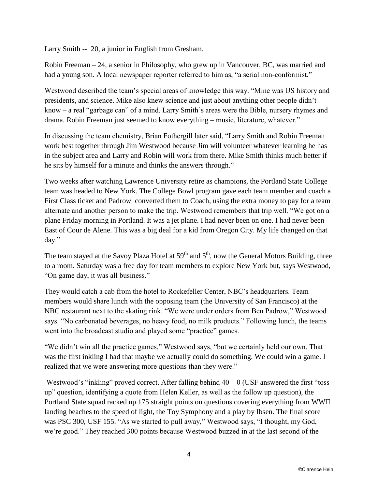Larry Smith -- 20, a junior in English from Gresham.

Robin Freeman – 24, a senior in Philosophy, who grew up in Vancouver, BC, was married and had a young son. A local newspaper reporter referred to him as, "a serial non-conformist."

Westwood described the team's special areas of knowledge this way. "Mine was US history and presidents, and science. Mike also knew science and just about anything other people didn't know – a real "garbage can" of a mind. Larry Smith's areas were the Bible, nursery rhymes and drama. Robin Freeman just seemed to know everything – music, literature, whatever."

In discussing the team chemistry, Brian Fothergill later said, "Larry Smith and Robin Freeman work best together through Jim Westwood because Jim will volunteer whatever learning he has in the subject area and Larry and Robin will work from there. Mike Smith thinks much better if he sits by himself for a minute and thinks the answers through."

Two weeks after watching Lawrence University retire as champions, the Portland State College team was headed to New York. The College Bowl program gave each team member and coach a First Class ticket and Padrow converted them to Coach, using the extra money to pay for a team alternate and another person to make the trip. Westwood remembers that trip well. "We got on a plane Friday morning in Portland. It was a jet plane. I had never been on one. I had never been East of Cour de Alene. This was a big deal for a kid from Oregon City. My life changed on that day."

The team stayed at the Savoy Plaza Hotel at  $59<sup>th</sup>$  and  $5<sup>th</sup>$ , now the General Motors Building, three to a room. Saturday was a free day for team members to explore New York but, says Westwood, "On game day, it was all business."

They would catch a cab from the hotel to Rockefeller Center, NBC's headquarters. Team members would share lunch with the opposing team (the University of San Francisco) at the NBC restaurant next to the skating rink. "We were under orders from Ben Padrow," Westwood says. "No carbonated beverages, no heavy food, no milk products." Following lunch, the teams went into the broadcast studio and played some "practice" games.

"We didn't win all the practice games," Westwood says, "but we certainly held our own. That was the first inkling I had that maybe we actually could do something. We could win a game. I realized that we were answering more questions than they were."

Westwood's "inkling" proved correct. After falling behind  $40 - 0$  (USF answered the first "toss" up" question, identifying a quote from Helen Keller, as well as the follow up question), the Portland State squad racked up 175 straight points on questions covering everything from WWII landing beaches to the speed of light, the Toy Symphony and a play by Ibsen. The final score was PSC 300, USF 155. "As we started to pull away," Westwood says, "I thought, my God, we're good." They reached 300 points because Westwood buzzed in at the last second of the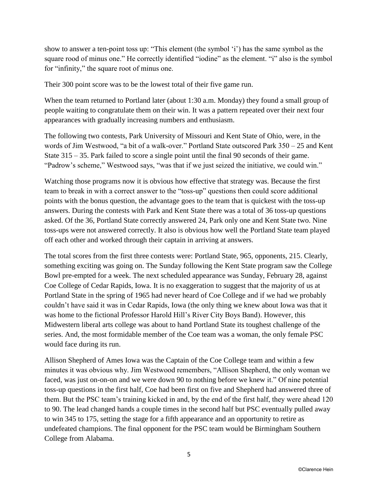show to answer a ten-point toss up: "This element (the symbol 'i') has the same symbol as the square rood of minus one." He correctly identified "iodine" as the element. "i" also is the symbol for "infinity," the square root of minus one.

Their 300 point score was to be the lowest total of their five game run.

When the team returned to Portland later (about 1:30 a.m. Monday) they found a small group of people waiting to congratulate them on their win. It was a pattern repeated over their next four appearances with gradually increasing numbers and enthusiasm.

The following two contests, Park University of Missouri and Kent State of Ohio, were, in the words of Jim Westwood, "a bit of a walk-over." Portland State outscored Park 350 – 25 and Kent State 315 – 35. Park failed to score a single point until the final 90 seconds of their game. "Padrow's scheme," Westwood says, "was that if we just seized the initiative, we could win."

Watching those programs now it is obvious how effective that strategy was. Because the first team to break in with a correct answer to the "toss-up" questions then could score additional points with the bonus question, the advantage goes to the team that is quickest with the toss-up answers. During the contests with Park and Kent State there was a total of 36 toss-up questions asked. Of the 36, Portland State correctly answered 24, Park only one and Kent State two. Nine toss-ups were not answered correctly. It also is obvious how well the Portland State team played off each other and worked through their captain in arriving at answers.

The total scores from the first three contests were: Portland State, 965, opponents, 215. Clearly, something exciting was going on. The Sunday following the Kent State program saw the College Bowl pre-empted for a week. The next scheduled appearance was Sunday, February 28, against Coe College of Cedar Rapids, Iowa. It is no exaggeration to suggest that the majority of us at Portland State in the spring of 1965 had never heard of Coe College and if we had we probably couldn't have said it was in Cedar Rapids, Iowa (the only thing we knew about Iowa was that it was home to the fictional Professor Harold Hill's River City Boys Band). However, this Midwestern liberal arts college was about to hand Portland State its toughest challenge of the series. And, the most formidable member of the Coe team was a woman, the only female PSC would face during its run.

Allison Shepherd of Ames Iowa was the Captain of the Coe College team and within a few minutes it was obvious why. Jim Westwood remembers, "Allison Shepherd, the only woman we faced, was just on-on-on and we were down 90 to nothing before we knew it." Of nine potential toss-up questions in the first half, Coe had been first on five and Shepherd had answered three of them. But the PSC team's training kicked in and, by the end of the first half, they were ahead 120 to 90. The lead changed hands a couple times in the second half but PSC eventually pulled away to win 345 to 175, setting the stage for a fifth appearance and an opportunity to retire as undefeated champions. The final opponent for the PSC team would be Birmingham Southern College from Alabama.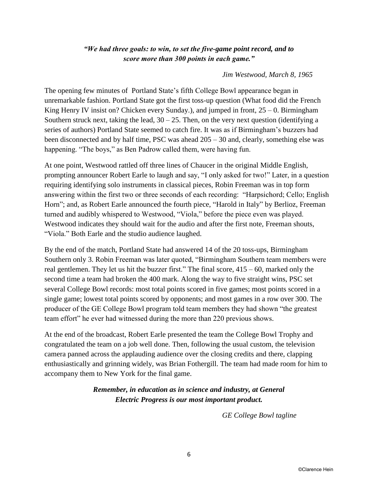#### *"We had three goals: to win, to set the five-game point record, and to score more than 300 points in each game."*

#### *Jim Westwood, March 8, 1965*

The opening few minutes of Portland State's fifth College Bowl appearance began in unremarkable fashion. Portland State got the first toss-up question (What food did the French King Henry IV insist on? Chicken every Sunday.), and jumped in front,  $25 - 0$ . Birmingham Southern struck next, taking the lead,  $30 - 25$ . Then, on the very next question (identifying a series of authors) Portland State seemed to catch fire. It was as if Birmingham's buzzers had been disconnected and by half time, PSC was ahead 205 – 30 and, clearly, something else was happening. "The boys," as Ben Padrow called them, were having fun.

At one point, Westwood rattled off three lines of Chaucer in the original Middle English, prompting announcer Robert Earle to laugh and say, "I only asked for two!" Later, in a question requiring identifying solo instruments in classical pieces, Robin Freeman was in top form answering within the first two or three seconds of each recording: "Harpsichord; Cello; English Horn"; and, as Robert Earle announced the fourth piece, "Harold in Italy" by Berlioz, Freeman turned and audibly whispered to Westwood, "Viola," before the piece even was played. Westwood indicates they should wait for the audio and after the first note, Freeman shouts, "Viola." Both Earle and the studio audience laughed.

By the end of the match, Portland State had answered 14 of the 20 toss-ups, Birmingham Southern only 3. Robin Freeman was later quoted, "Birmingham Southern team members were real gentlemen. They let us hit the buzzer first." The final score,  $415 - 60$ , marked only the second time a team had broken the 400 mark. Along the way to five straight wins, PSC set several College Bowl records: most total points scored in five games; most points scored in a single game; lowest total points scored by opponents; and most games in a row over 300. The producer of the GE College Bowl program told team members they had shown "the greatest team effort" he ever had witnessed during the more than 220 previous shows.

At the end of the broadcast, Robert Earle presented the team the College Bowl Trophy and congratulated the team on a job well done. Then, following the usual custom, the television camera panned across the applauding audience over the closing credits and there, clapping enthusiastically and grinning widely, was Brian Fothergill. The team had made room for him to accompany them to New York for the final game.

### *Remember, in education as in science and industry, at General Electric Progress is our most important product.*

*GE College Bowl tagline*